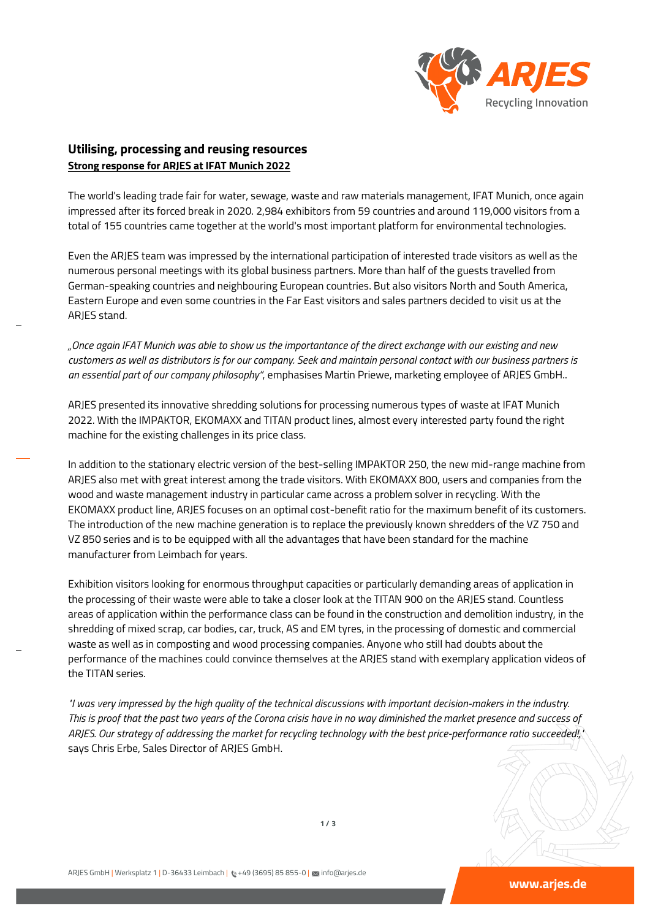

## **Utilising, processing and reusing resources Strong response for ARJES at IFAT Munich 2022**

The world's leading trade fair for water, sewage, waste and raw materials management, IFAT Munich, once again impressed after its forced break in 2020. 2,984 exhibitors from 59 countries and around 119,000 visitors from a total of 155 countries came together at the world's most important platform for environmental technologies.

Even the ARJES team was impressed by the international participation of interested trade visitors as well as the numerous personal meetings with its global business partners. More than half of the guests travelled from German-speaking countries and neighbouring European countries. But also visitors North and South America, Eastern Europe and even some countries in the Far East visitors and sales partners decided to visit us at the ARJES stand.

*"Once again IFAT Munich was able to show us the importantance of the direct exchange with our existing and new customers as well as distributors is for our company. Seek and maintain personal contact with our business partners is an essential part of our company philosophy"*, emphasises Martin Priewe, marketing employee of ARJES GmbH..

ARJES presented its innovative shredding solutions for processing numerous types of waste at IFAT Munich 2022. With the IMPAKTOR, EKOMAXX and TITAN product lines, almost every interested party found the right machine for the existing challenges in its price class.

In addition to the stationary electric version of the best-selling IMPAKTOR 250, the new mid-range machine from ARJES also met with great interest among the trade visitors. With EKOMAXX 800, users and companies from the wood and waste management industry in particular came across a problem solver in recycling. With the EKOMAXX product line, ARJES focuses on an optimal cost-benefit ratio for the maximum benefit of its customers. The introduction of the new machine generation is to replace the previously known shredders of the VZ 750 and VZ 850 series and is to be equipped with all the advantages that have been standard for the machine manufacturer from Leimbach for years.

Exhibition visitors looking for enormous throughput capacities or particularly demanding areas of application in the processing of their waste were able to take a closer look at the TITAN 900 on the ARJES stand. Countless areas of application within the performance class can be found in the construction and demolition industry, in the shredding of mixed scrap, car bodies, car, truck, AS and EM tyres, in the processing of domestic and commercial waste as well as in composting and wood processing companies. Anyone who still had doubts about the performance of the machines could convince themselves at the ARJES stand with exemplary application videos of the TITAN series.

*"I was very impressed by the high quality of the technical discussions with important decision-makers in the industry. This is proof that the past two years of the Corona crisis have in no way diminished the market presence and success of ARJES. Our strategy of addressing the market for recycling technology with the best price-performance ratio succeeded!,"* says Chris Erbe, Sales Director of ARJES GmbH.

**1 / 3**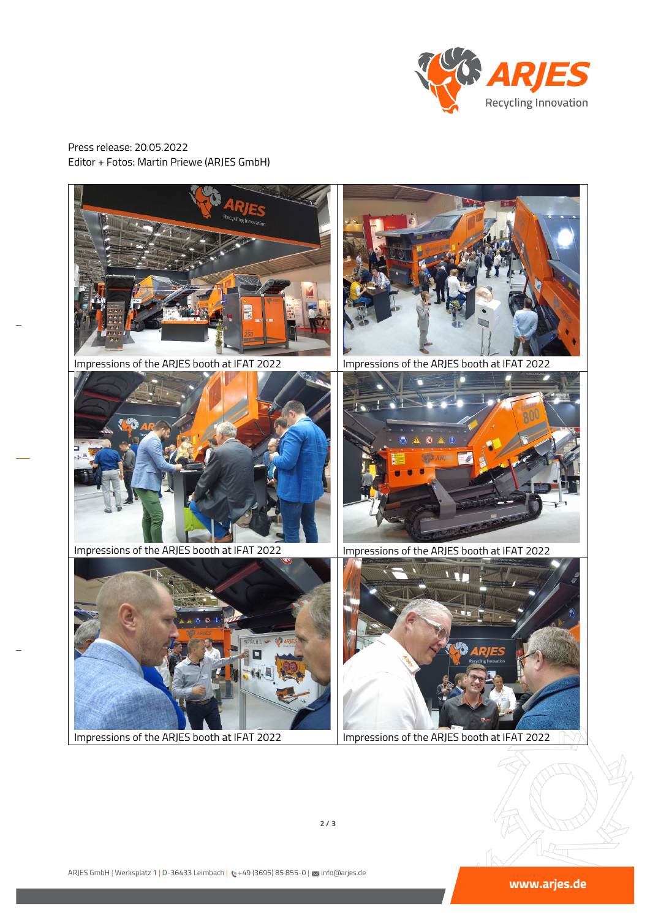

Press release: 20.05.2022 Editor + Fotos: Martin Priewe (ARJES GmbH)